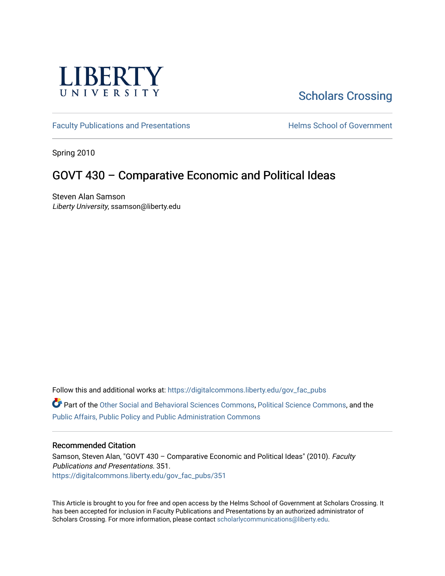

# [Scholars Crossing](https://digitalcommons.liberty.edu/)

[Faculty Publications and Presentations](https://digitalcommons.liberty.edu/gov_fac_pubs) **Exercise School of Government** 

Spring 2010

## GOVT 430 – Comparative Economic and Political Ideas

Steven Alan Samson Liberty University, ssamson@liberty.edu

Follow this and additional works at: [https://digitalcommons.liberty.edu/gov\\_fac\\_pubs](https://digitalcommons.liberty.edu/gov_fac_pubs?utm_source=digitalcommons.liberty.edu%2Fgov_fac_pubs%2F351&utm_medium=PDF&utm_campaign=PDFCoverPages)

Part of the [Other Social and Behavioral Sciences Commons](http://network.bepress.com/hgg/discipline/437?utm_source=digitalcommons.liberty.edu%2Fgov_fac_pubs%2F351&utm_medium=PDF&utm_campaign=PDFCoverPages), [Political Science Commons](http://network.bepress.com/hgg/discipline/386?utm_source=digitalcommons.liberty.edu%2Fgov_fac_pubs%2F351&utm_medium=PDF&utm_campaign=PDFCoverPages), and the [Public Affairs, Public Policy and Public Administration Commons](http://network.bepress.com/hgg/discipline/393?utm_source=digitalcommons.liberty.edu%2Fgov_fac_pubs%2F351&utm_medium=PDF&utm_campaign=PDFCoverPages)

## Recommended Citation

Samson, Steven Alan, "GOVT 430 - Comparative Economic and Political Ideas" (2010). Faculty Publications and Presentations. 351. [https://digitalcommons.liberty.edu/gov\\_fac\\_pubs/351](https://digitalcommons.liberty.edu/gov_fac_pubs/351?utm_source=digitalcommons.liberty.edu%2Fgov_fac_pubs%2F351&utm_medium=PDF&utm_campaign=PDFCoverPages)

This Article is brought to you for free and open access by the Helms School of Government at Scholars Crossing. It has been accepted for inclusion in Faculty Publications and Presentations by an authorized administrator of Scholars Crossing. For more information, please contact [scholarlycommunications@liberty.edu.](mailto:scholarlycommunications@liberty.edu)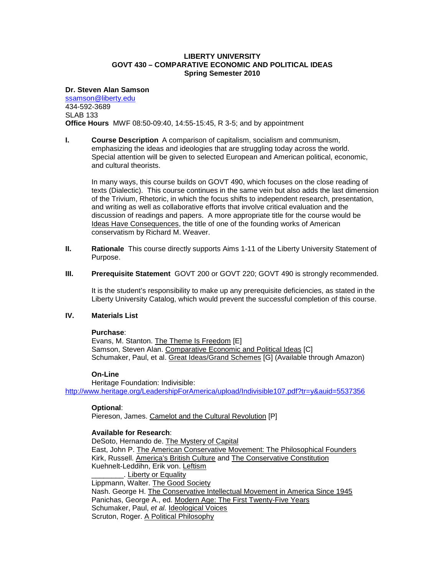## **LIBERTY UNIVERSITY GOVT 430 – COMPARATIVE ECONOMIC AND POLITICAL IDEAS Spring Semester 2010**

#### **Dr. Steven Alan Samson**

[ssamson@liberty.edu](mailto:ssamson@liberty.edu) 434-592-3689 SLAB 133 **Office Hours** MWF 08:50-09:40, 14:55-15:45, R 3-5; and by appointment

**I. Course Description** A comparison of capitalism, socialism and communism, emphasizing the ideas and ideologies that are struggling today across the world. Special attention will be given to selected European and American political, economic, and cultural theorists.

In many ways, this course builds on GOVT 490, which focuses on the close reading of texts (Dialectic). This course continues in the same vein but also adds the last dimension of the Trivium, Rhetoric, in which the focus shifts to independent research, presentation, and writing as well as collaborative efforts that involve critical evaluation and the discussion of readings and papers. A more appropriate title for the course would be Ideas Have Consequences, the title of one of the founding works of American conservatism by Richard M. Weaver.

- **II. Rationale** This course directly supports Aims 1-11 of the Liberty University Statement of Purpose.
- **III.** Prerequisite Statement GOVT 200 or GOVT 220; GOVT 490 is strongly recommended.

It is the student's responsibility to make up any prerequisite deficiencies, as stated in the Liberty University Catalog, which would prevent the successful completion of this course.

## **IV. Materials List**

#### **Purchase**:

Evans, M. Stanton. The Theme Is Freedom [E] Samson, Steven Alan. Comparative Economic and Political Ideas [C] Schumaker, Paul, et al. Great Ideas/Grand Schemes [G] (Available through Amazon)

#### **On-Line**

Heritage Foundation: Indivisible: <http://www.heritage.org/LeadershipForAmerica/upload/Indivisible107.pdf?tr=y&auid=5537356>

## **Optional**:

Piereson, James. Camelot and the Cultural Revolution [P]

## **Available for Research**:

DeSoto, Hernando de. The Mystery of Capital East, John P. The American Conservative Movement: The Philosophical Founders Kirk, Russell. America's British Culture and The Conservative Constitution Kuehnelt-Leddihn, Erik von. Leftism \_\_\_\_\_\_\_\_. Liberty or Equality Lippmann, Walter. The Good Society Nash. George H. The Conservative Intellectual Movement in America Since 1945 Panichas, George A., ed. Modern Age: The First Twenty-Five Years Schumaker, Paul, *et al.* Ideological Voices Scruton, Roger. A Political Philosophy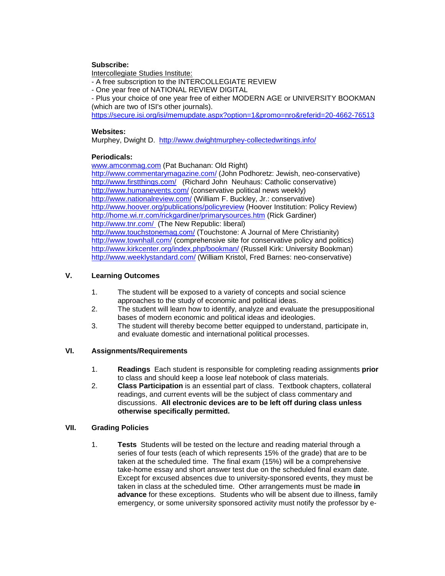## **Subscribe:**

Intercollegiate Studies Institute:

- A free subscription to the INTERCOLLEGIATE REVIEW

- One year free of NATIONAL REVIEW DIGITAL

- Plus your choice of one year free of either MODERN AGE or UNIVERSITY BOOKMAN (which are two of ISI's other journals).

<https://secure.isi.org/isi/memupdate.aspx?option=1&promo=nro&referid=20-4662-76513>

## **Websites:**

Murphey, Dwight D. <http://www.dwightmurphey-collectedwritings.info/>

## **Periodicals:**

[www.amconmag.com](http://www.amconmag.com/) (Pat Buchanan: Old Right)

<http://www.commentarymagazine.com/> (John Podhoretz: Jewish, neo-conservative) <http://www.firstthings.com/>(Richard John Neuhaus: Catholic conservative) <http://www.humanevents.com/> (conservative political news weekly) <http://www.nationalreview.com/> (William F. Buckley, Jr.: conservative) <http://www.hoover.org/publications/policyreview> (Hoover Institution: Policy Review) <http://home.wi.rr.com/rickgardiner/primarysources.htm> (Rick Gardiner) <http://www.tnr.com/> (The New Republic: liberal) <http://www.touchstonemag.com/> (Touchstone: A Journal of Mere Christianity) <http://www.townhall.com/> (comprehensive site for conservative policy and politics) <http://www.kirkcenter.org/index.php/bookman/> (Russell Kirk: University Bookman) <http://www.weeklystandard.com/> (William Kristol, Fred Barnes: neo-conservative)

## **V. Learning Outcomes**

- 1. The student will be exposed to a variety of concepts and social science approaches to the study of economic and political ideas.
- 2. The student will learn how to identify, analyze and evaluate the presuppositional bases of modern economic and political ideas and ideologies.
- 3. The student will thereby become better equipped to understand, participate in, and evaluate domestic and international political processes.

## **VI. Assignments/Requirements**

- 1. **Readings** Each student is responsible for completing reading assignments **prior** to class and should keep a loose leaf notebook of class materials.
- 2. **Class Participation** is an essential part of class. Textbook chapters, collateral readings, and current events will be the subject of class commentary and discussions. **All electronic devices are to be left off during class unless otherwise specifically permitted.**

## **VII. Grading Policies**

1. **Tests** Students will be tested on the lecture and reading material through a series of four tests (each of which represents 15% of the grade) that are to be taken at the scheduled time. The final exam (15%) will be a comprehensive take-home essay and short answer test due on the scheduled final exam date. Except for excused absences due to university-sponsored events, they must be taken in class at the scheduled time. Other arrangements must be made **in advance** for these exceptions. Students who will be absent due to illness, family emergency, or some university sponsored activity must notify the professor by e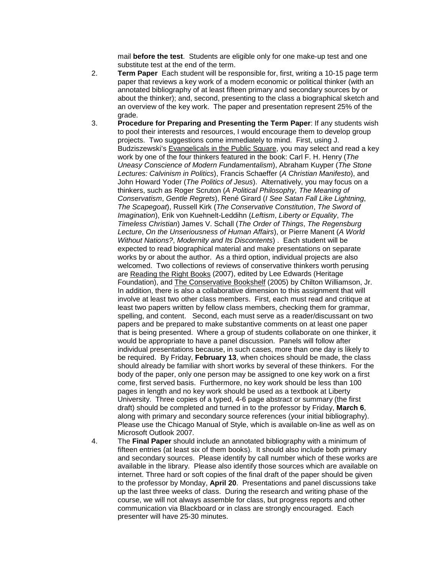mail **before the test**. Students are eligible only for one make-up test and one substitute test at the end of the term.

- 2. **Term Paper** Each student will be responsible for, first, writing a 10-15 page term paper that reviews a key work of a modern economic or political thinker (with an annotated bibliography of at least fifteen primary and secondary sources by or about the thinker); and, second, presenting to the class a biographical sketch and an overview of the key work. The paper and presentation represent 25% of the grade.
- 3. **Procedure for Preparing and Presenting the Term Paper**: If any students wish to pool their interests and resources, I would encourage them to develop group projects. Two suggestions come immediately to mind. First, using J. Budziszewski's Evangelicals in the Public Square, you may select and read a key work by one of the four thinkers featured in the book: Carl F. H. Henry (*The Uneasy Conscience of Modern Fundamentalism*), Abraham Kuyper (*The Stone Lectures: Calvinism in Politics*), Francis Schaeffer (*A Christian Manifesto*), and John Howard Yoder (*The Politics of Jesus*). Alternatively, you may focus on a thinkers, such as Roger Scruton (*A Political Philosophy, The Meaning of Conservatism*, *Gentle Regrets*), René Girard (*I See Satan Fall Like Lightning*, *The Scapegoat*), Russell Kirk (*The Conservative Constitution*, *The Sword of Imagination*), Erik von Kuehnelt-Leddihn (*Leftism*, *Liberty or Equality*, *The Timeless Christian*) James V. Schall (*The Order of Things*, *The Regensburg Lecture*, *On the Unseriousness of Human Affairs*), or Pierre Manent (*A World Without Nations?*, *Modernity and Its Discontents*) . Each student will be expected to read biographical material and make presentations on separate works by or about the author. As a third option, individual projects are also welcomed. Two collections of reviews of conservative thinkers worth perusing are Reading the Right Books (2007), edited by Lee Edwards (Heritage Foundation), and The Conservative Bookshelf (2005) by Chilton Williamson, Jr. In addition, there is also a collaborative dimension to this assignment that will involve at least two other class members. First, each must read and critique at least two papers written by fellow class members, checking them for grammar, spelling, and content. Second, each must serve as a reader/discussant on two papers and be prepared to make substantive comments on at least one paper that is being presented. Where a group of students collaborate on one thinker, it would be appropriate to have a panel discussion. Panels will follow after individual presentations because, in such cases, more than one day is likely to be required. By Friday, **February 13**, when choices should be made, the class should already be familiar with short works by several of these thinkers. For the body of the paper, only one person may be assigned to one key work on a first come, first served basis. Furthermore, no key work should be less than 100 pages in length and no key work should be used as a textbook at Liberty University. Three copies of a typed, 4-6 page abstract or summary (the first draft) should be completed and turned in to the professor by Friday, **March 6**, along with primary and secondary source references (your initial bibliography). Please use the Chicago Manual of Style, which is available on-line as well as on Microsoft Outlook 2007.
- 4. The **Final Paper** should include an annotated bibliography with a minimum of fifteen entries (at least six of them books). It should also include both primary and secondary sources. Please identify by call number which of these works are available in the library. Please also identify those sources which are available on internet. Three hard or soft copies of the final draft of the paper should be given to the professor by Monday, **April 20**. Presentations and panel discussions take up the last three weeks of class. During the research and writing phase of the course, we will not always assemble for class, but progress reports and other communication via Blackboard or in class are strongly encouraged. Each presenter will have 25-30 minutes.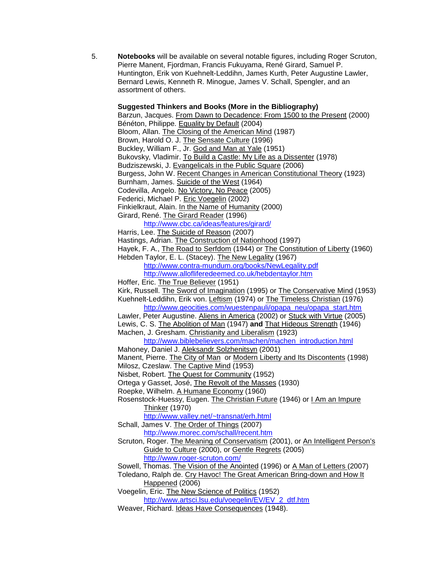5. **Notebooks** will be available on several notable figures, including Roger Scruton, Pierre Manent, Fjordman, Francis Fukuyama, René Girard, Samuel P. Huntington, Erik von Kuehnelt-Leddihn, James Kurth, Peter Augustine Lawler, Bernard Lewis, Kenneth R. Minogue, James V. Schall, Spengler, and an assortment of others.

#### **Suggested Thinkers and Books (More in the Bibliography)**

Barzun, Jacques. From Dawn to Decadence: From 1500 to the Present (2000) Bénéton, Philippe. Equality by Default (2004) Bloom, Allan. The Closing of the American Mind (1987) Brown, Harold O. J. The Sensate Culture (1996) Buckley, William F., Jr. God and Man at Yale (1951) Bukovsky, Vladimir. To Build a Castle: My Life as a Dissenter (1978) Budziszewski, J. Evangelicals in the Public Square (2006) Burgess, John W. Recent Changes in American Constitutional Theory (1923) Burnham, James. Suicide of the West (1964) Codevilla, Angelo. No Victory, No Peace (2005) Federici, Michael P. Eric Voegelin (2002) Finkielkraut, Alain. In the Name of Humanity (2000) Girard, René. The Girard Reader (1996) <http://www.cbc.ca/ideas/features/girard/> Harris, Lee. The Suicide of Reason (2007) Hastings, Adrian. The Construction of Nationhood (1997) Hayek, F. A., The Road to Serfdom (1944) or The Constitution of Liberty (1960) Hebden Taylor, E. L. (Stacey). The New Legality (1967) <http://www.contra-mundum.org/books/NewLegality.pdf> <http://www.allofliferedeemed.co.uk/hebdentaylor.htm> Hoffer, Eric. The True Believer (1951) Kirk, Russell. The Sword of Imagination (1995) or The Conservative Mind (1953) Kuehnelt-Leddihn, Erik von. Leftism (1974) or The Timeless Christian (1976) [http://www.geocities.com/wuestenpauli/opapa\\_neu/opapa\\_start.htm](http://www.geocities.com/wuestenpauli/opapa_neu/opapa_start.htm) Lawler, Peter Augustine. Aliens in America (2002) or Stuck with Virtue (2005) Lewis, C. S. The Abolition of Man (1947) **and** That Hideous Strength (1946) Machen, J. Gresham. Christianity and Liberalism (1923) [http://www.biblebelievers.com/machen/machen\\_introduction.html](http://www.biblebelievers.com/machen/machen_introduction.html) Mahoney, Daniel J. Aleksandr Solzhenitsyn (2001) Manent, Pierre. The City of Man or Modern Liberty and Its Discontents (1998) Milosz, Czeslaw. The Captive Mind (1953) Nisbet, Robert. The Quest for Community (1952) Ortega y Gasset, José, The Revolt of the Masses (1930) Roepke, Wilhelm. A Humane Economy (1960) Rosenstock-Huessy, Eugen. The Christian Future (1946) or I Am an Impure Thinker (1970) <http://www.valley.net/~transnat/erh.html> Schall, James V. The Order of Things (2007) <http://www.morec.com/schall/recent.htm> Scruton, Roger. The Meaning of Conservatism (2001), or An Intelligent Person's Guide to Culture (2000), or Gentle Regrets (2005) <http://www.roger-scruton.com/> Sowell, Thomas. The Vision of the Anointed (1996) or A Man of Letters (2007) Toledano, Ralph de. Cry Havoc! The Great American Bring-down and How It Happened (2006) Voegelin, Eric. The New Science of Politics (1952) [http://www.artsci.lsu.edu/voegelin/EV/EV\\_2\\_dtf.htm](http://www.artsci.lsu.edu/voegelin/EV/EV_2_dtf.htm) Weaver, Richard. Ideas Have Consequences (1948).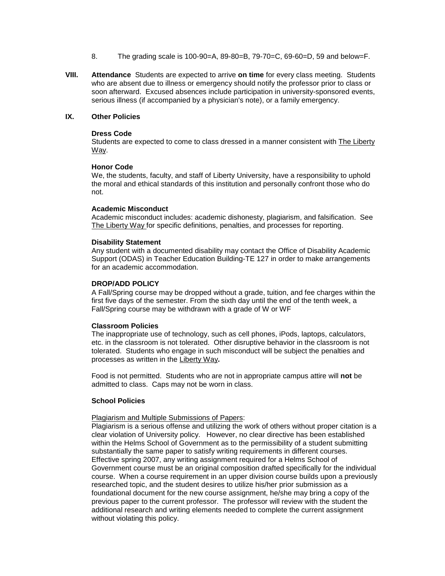- 8. The grading scale is 100-90=A, 89-80=B, 79-70=C, 69-60=D, 59 and below=F.
- **VIII. Attendance** Students are expected to arrive **on time** for every class meeting. Students who are absent due to illness or emergency should notify the professor prior to class or soon afterward. Excused absences include participation in university-sponsored events, serious illness (if accompanied by a physician's note), or a family emergency.

## **IX. Other Policies**

#### **Dress Code**

Students are expected to come to class dressed in a manner consistent with The Liberty Way.

#### **Honor Code**

We, the students, faculty, and staff of Liberty University, have a responsibility to uphold the moral and ethical standards of this institution and personally confront those who do not.

## **Academic Misconduct**

Academic misconduct includes: academic dishonesty, plagiarism, and falsification. See The Liberty Way for specific definitions, penalties, and processes for reporting.

#### **Disability Statement**

Any student with a documented disability may contact the Office of Disability Academic Support (ODAS) in Teacher Education Building-TE 127 in order to make arrangements for an academic accommodation.

#### **DROP/ADD POLICY**

A Fall/Spring course may be dropped without a grade, tuition, and fee charges within the first five days of the semester. From the sixth day until the end of the tenth week, a Fall/Spring course may be withdrawn with a grade of W or WF

## **Classroom Policies**

The inappropriate use of technology, such as cell phones, iPods, laptops, calculators, etc. in the classroom is not tolerated. Other disruptive behavior in the classroom is not tolerated. Students who engage in such misconduct will be subject the penalties and processes as written in the Liberty Way**.**

Food is not permitted. Students who are not in appropriate campus attire will **not** be admitted to class. Caps may not be worn in class.

#### **School Policies**

Plagiarism and Multiple Submissions of Papers:

Plagiarism is a serious offense and utilizing the work of others without proper citation is a clear violation of University policy. However, no clear directive has been established within the Helms School of Government as to the permissibility of a student submitting substantially the same paper to satisfy writing requirements in different courses. Effective spring 2007, any writing assignment required for a Helms School of Government course must be an original composition drafted specifically for the individual course. When a course requirement in an upper division course builds upon a previously researched topic, and the student desires to utilize his/her prior submission as a foundational document for the new course assignment, he/she may bring a copy of the previous paper to the current professor. The professor will review with the student the additional research and writing elements needed to complete the current assignment without violating this policy.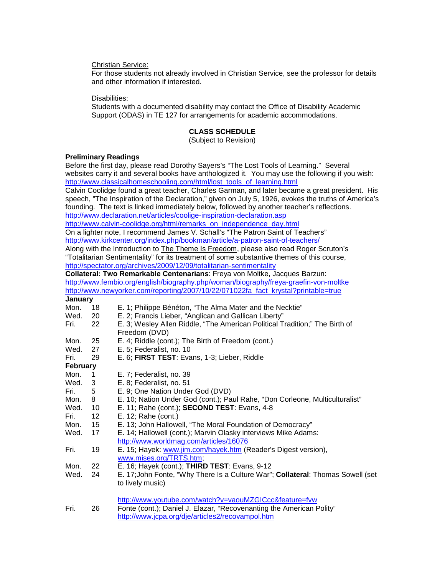Christian Service:

For those students not already involved in Christian Service, see the professor for details and other information if interested.

Disabilities:

Students with a documented disability may contact the Office of Disability Academic Support (ODAS) in TE 127 for arrangements for academic accommodations.

## **CLASS SCHEDULE**

(Subject to Revision)

## **Preliminary Readings**

Before the first day, please read Dorothy Sayers's "The Lost Tools of Learning." Several websites carry it and several books have anthologized it. You may use the following if you wish: [http://www.classicalhomeschooling.com/html/lost\\_tools\\_of\\_learning.html](http://www.classicalhomeschooling.com/html/lost_tools_of_learning.html) Calvin Coolidge found a great teacher, Charles Garman, and later became a great president. His speech, "The Inspiration of the Declaration," given on July 5, 1926, evokes the truths of America's founding. The text is linked immediately below, followed by another teacher's reflections. <http://www.declaration.net/articles/coolige-inspiration-declaration.asp> [http://www.calvin-coolidge.org/html/remarks\\_on\\_independence\\_day.html](http://www.calvin-coolidge.org/html/remarks_on_independence_day.html) On a lighter note, I recommend James V. Schall's "The Patron Saint of Teachers" <http://www.kirkcenter.org/index.php/bookman/article/a-patron-saint-of-teachers/> Along with the Introduction to The Theme Is Freedom, please also read Roger Scruton's "Totalitarian Sentimentality" for its treatment of some substantive themes of this course, <http://spectator.org/archives/2009/12/09/totalitarian-sentimentality> **Collateral: Two Remarkable Centenarians**: Freya von Moltke, Jacques Barzun: <http://www.fembio.org/english/biography.php/woman/biography/freya-graefin-von-moltke> [http://www.newyorker.com/reporting/2007/10/22/071022fa\\_fact\\_krystal?printable=true](http://www.newyorker.com/reporting/2007/10/22/071022fa_fact_krystal?printable=true) January<br>Mon. 18 Mon. 18 E. 1; Philippe Bénéton, "The Alma Mater and the Necktie"<br>Wed. 20 E. 2: Francis Lieber, "Anglican and Gallican Liberty" E. 2; Francis Lieber, "Anglican and Gallican Liberty" Fri. 22 E. 3; Wesley Allen Riddle, "The American Political Tradition;" The Birth of Freedom (DVD) Mon. 25 E. 4; Riddle (cont.); The Birth of Freedom (cont.) Wed. 27 E. 5; Federalist, no. 10<br>Fri. 29 E. 6: FIRST TEST: Eva E. 6; **FIRST TEST**: Evans, 1-3; Lieber, Riddle **February** Mon. 1 E. 7; Federalist, no. 39<br>Wed 3 F 8: Federalist no 51 3 E. 8; Federalist, no. 51 Fri. 5 E. 9; One Nation Under God (DVD) Mon. 8 E. 10; Nation Under God (cont.); Paul Rahe, "Don Corleone, Multiculturalist"<br>Wed. 10 E. 11: Rahe (cont.): **SECOND TEST**: Evans. 4-8 E. 11; Rahe (cont.); **SECOND TEST**: Evans, 4-8 Fri. 12 E. 12; Rahe (cont.) Mon. 15 E. 13; John Hallowell, "The Moral Foundation of Democracy"<br>Wed. 17 E. 14: Hallowell (cont.): Marvin Olasky interviews Mike Adam E. 14; Hallowell (cont.); Marvin Olasky interviews Mike Adams: <http://www.worldmag.com/articles/16076> Fri. 19 E. 15; Hayek: [www.jim.com/hayek.htm](http://www.jim.com/hayek.htm) (Reader's Digest version), [www.mises.org/TRTS.htm;](http://www.mises.org/TRTS.htm) Mon. 22 E. 16; Hayek (cont.); **THIRD TEST**: Evans, 9-12 Wed. 24 E. 17;John Fonte, "Why There Is a Culture War"; **Collateral**: Thomas Sowell (set to lively music) <http://www.youtube.com/watch?v=vaouMZGICcc&feature=fvw> Fri. 26 Fonte (cont.); Daniel J. Elazar, "Recovenanting the American Polity" <http://www.jcpa.org/dje/articles2/recovampol.htm>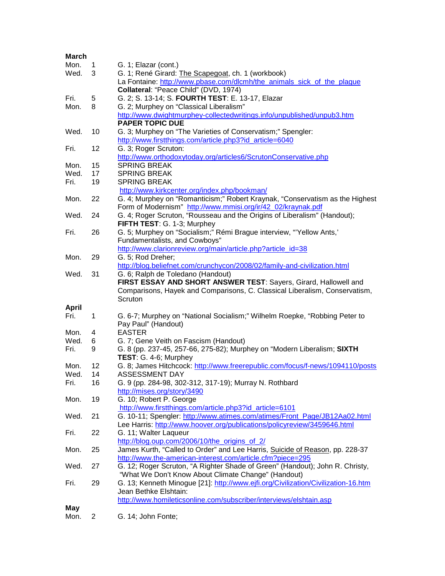| <b>March</b> |                |                                                                                                                                                       |
|--------------|----------------|-------------------------------------------------------------------------------------------------------------------------------------------------------|
| Mon.         | 1              | G. 1; Elazar (cont.)                                                                                                                                  |
| Wed.         | 3              | G. 1; René Girard: The Scapegoat, ch. 1 (workbook)                                                                                                    |
|              |                | La Fontaine: http://www.pbase.com/dlcmh/the_animals_sick_of_the_plague                                                                                |
|              |                | Collateral: "Peace Child" (DVD, 1974)                                                                                                                 |
| Fri.         | 5              | G. 2; S. 13-14; S. FOURTH TEST: E. 13-17, Elazar                                                                                                      |
| Mon.         | 8              | G. 2; Murphey on "Classical Liberalism"                                                                                                               |
|              |                | http://www.dwightmurphey-collectedwritings.info/unpublished/unpub3.htm                                                                                |
|              |                | <b>PAPER TOPIC DUE</b>                                                                                                                                |
| Wed.         | 10             | G. 3; Murphey on "The Varieties of Conservatism;" Spengler:                                                                                           |
|              |                | http://www.firstthings.com/article.php3?id_article=6040                                                                                               |
| Fri.         | 12             | G. 3; Roger Scruton:                                                                                                                                  |
|              |                | http://www.orthodoxytoday.org/articles6/ScrutonConservative.php                                                                                       |
| Mon.         | 15             | <b>SPRING BREAK</b>                                                                                                                                   |
| Wed.         | 17             | <b>SPRING BREAK</b>                                                                                                                                   |
| Fri.         | 19             | <b>SPRING BREAK</b>                                                                                                                                   |
|              |                | http://www.kirkcenter.org/index.php/bookman/                                                                                                          |
| Mon.         | 22             | G. 4; Murphey on "Romanticism;" Robert Kraynak, "Conservatism as the Highest                                                                          |
|              |                | Form of Modernism" http://www.mmisi.org/ir/42_02/kraynak.pdf                                                                                          |
| Wed.         | 24             | G. 4; Roger Scruton, "Rousseau and the Origins of Liberalism" (Handout);<br>FIFTH TEST: G. 1-3; Murphey                                               |
| Fri.         | 26             | G. 5; Murphey on "Socialism;" Rémi Brague interview, "Yellow Ants,'                                                                                   |
|              |                | Fundamentalists, and Cowboys"                                                                                                                         |
|              |                | http://www.clarionreview.org/main/article.php?article_id=38                                                                                           |
| Mon.         | 29             | G. 5; Rod Dreher;                                                                                                                                     |
|              |                | http://blog.beliefnet.com/crunchycon/2008/02/family-and-civilization.html                                                                             |
| Wed.         | 31             | G. 6; Ralph de Toledano (Handout)                                                                                                                     |
|              |                | FIRST ESSAY AND SHORT ANSWER TEST: Sayers, Girard, Hallowell and                                                                                      |
|              |                | Comparisons, Hayek and Comparisons, C. Classical Liberalism, Conservatism,                                                                            |
|              |                | Scruton                                                                                                                                               |
| <b>April</b> |                |                                                                                                                                                       |
| Fri.         | 1              | G. 6-7; Murphey on "National Socialism;" Wilhelm Roepke, "Robbing Peter to                                                                            |
|              |                | Pay Paul" (Handout)                                                                                                                                   |
| Mon.         | 4              | <b>EASTER</b>                                                                                                                                         |
| Wed.         | 6              | G. 7; Gene Veith on Fascism (Handout)                                                                                                                 |
| Fri.         | 9              | G. 8 (pp. 237-45, 257-66, 275-82); Murphey on "Modern Liberalism; SIXTH                                                                               |
|              |                | TEST: G. 4-6; Murphey                                                                                                                                 |
| Mon.         | 12             | G. 8; James Hitchcock: http://www.freerepublic.com/focus/f-news/1094110/posts                                                                         |
| Wed.         | 14             | <b>ASSESSMENT DAY</b>                                                                                                                                 |
| Fri.         | 16             | G. 9 (pp. 284-98, 302-312, 317-19); Murray N. Rothbard                                                                                                |
|              |                | http://mises.org/story/3490                                                                                                                           |
| Mon.         | 19             | G. 10; Robert P. George                                                                                                                               |
| Wed.         |                | http://www.firstthings.com/article.php3?id article=6101                                                                                               |
|              | 21             | G. 10-11; Spengler: http://www.atimes.com/atimes/Front_Page/JB12Aa02.html<br>Lee Harris: http://www.hoover.org/publications/policyreview/3459646.html |
| Fri.         | 22             | G. 11; Walter Laqueur                                                                                                                                 |
|              |                | http://blog.oup.com/2006/10/the_origins_of_2/                                                                                                         |
| Mon.         | 25             | James Kurth, "Called to Order" and Lee Harris, Suicide of Reason, pp. 228-37                                                                          |
|              |                | http://www.the-american-interest.com/article.cfm?piece=295                                                                                            |
| Wed.         | 27             | G. 12; Roger Scruton, "A Righter Shade of Green" (Handout); John R. Christy,                                                                          |
|              |                | "What We Don't Know About Climate Change" (Handout)                                                                                                   |
| Fri.         | 29             | G. 13; Kenneth Minogue [21]: http://www.ejfi.org/Civilization/Civilization-16.htm                                                                     |
|              |                | Jean Bethke Elshtain:                                                                                                                                 |
|              |                | http://www.homileticsonline.com/subscriber/interviews/elshtain.asp                                                                                    |
| May          |                |                                                                                                                                                       |
| Mon.         | $\overline{2}$ | G. 14; John Fonte;                                                                                                                                    |